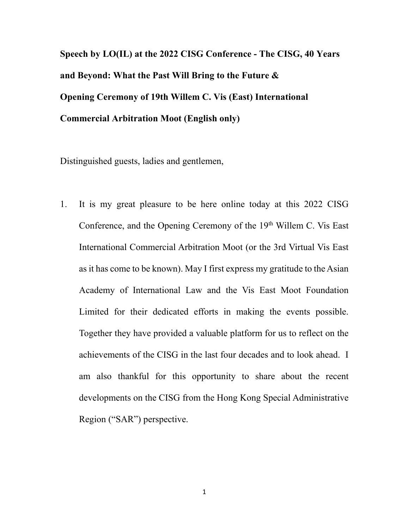**Speech by LO(IL) at the 2022 CISG Conference - The CISG, 40 Years and Beyond: What the Past Will Bring to the Future & Opening Ceremony of 19th Willem C. Vis (East) International Commercial Arbitration Moot (English only)** 

Distinguished guests, ladies and gentlemen,

1. It is my great pleasure to be here online today at this 2022 CISG Conference, and the Opening Ceremony of the 19<sup>th</sup> Willem C. Vis East International Commercial Arbitration Moot (or the 3rd Virtual Vis East as it has come to be known). May I first express my gratitude to the Asian Academy of International Law and the Vis East Moot Foundation Limited for their dedicated efforts in making the events possible. Together they have provided a valuable platform for us to reflect on the achievements of the CISG in the last four decades and to look ahead. I am also thankful for this opportunity to share about the recent developments on the CISG from the Hong Kong Special Administrative Region ("SAR") perspective.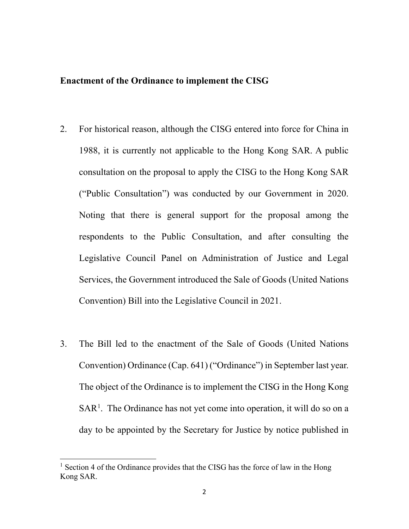#### **Enactment of the Ordinance to implement the CISG**

- 2. For historical reason, although the CISG entered into force for China in 1988, it is currently not applicable to the Hong Kong SAR. A public consultation on the proposal to apply the CISG to the Hong Kong SAR ("Public Consultation") was conducted by our Government in 2020. Noting that there is general support for the proposal among the respondents to the Public Consultation, and after consulting the Legislative Council Panel on Administration of Justice and Legal Services, the Government introduced the Sale of Goods (United Nations Convention) Bill into the Legislative Council in 2021.
- 3. The Bill led to the enactment of the Sale of Goods (United Nations Convention) Ordinance (Cap. 641) ("Ordinance") in September last year. The object of the Ordinance is to implement the CISG in the Hong Kong SAR<sup>[1](#page-1-0)</sup>. The Ordinance has not yet come into operation, it will do so on a day to be appointed by the Secretary for Justice by notice published in

<span id="page-1-0"></span> $<sup>1</sup>$  Section 4 of the Ordinance provides that the CISG has the force of law in the Hong</sup> Kong SAR.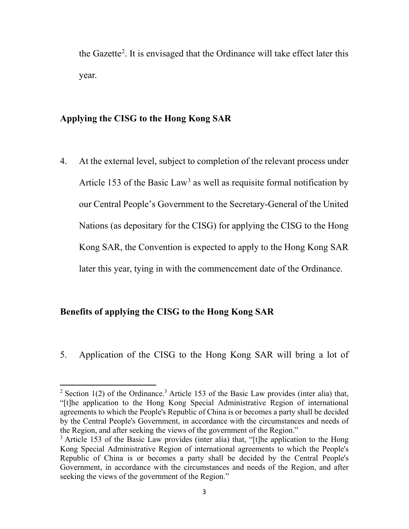the Gazette<sup>[2](#page-2-0)</sup>. It is envisaged that the Ordinance will take effect later this year.

## **Applying the CISG to the Hong Kong SAR**

4. At the external level, subject to completion of the relevant process under Article 15[3](#page-2-1) of the Basic Law<sup>3</sup> as well as requisite formal notification by our Central People's Government to the Secretary-General of the United Nations (as depositary for the CISG) for applying the CISG to the Hong Kong SAR, the Convention is expected to apply to the Hong Kong SAR later this year, tying in with the commencement date of the Ordinance.

#### **Benefits of applying the CISG to the Hong Kong SAR**

 $\overline{a}$ 

5. Application of the CISG to the Hong Kong SAR will bring a lot of

<sup>&</sup>lt;sup>2</sup> Section 1(2) of the Ordinance.<sup>3</sup> Article 153 of the Basic Law provides (inter alia) that, "[t]he application to the Hong Kong Special Administrative Region of international agreements to which the People's Republic of China is or becomes a party shall be decided by the Central People's Government, in accordance with the circumstances and needs of the Region, and after seeking the views of the government of the Region."

<span id="page-2-1"></span><span id="page-2-0"></span> $3$  Article 153 of the Basic Law provides (inter alia) that, "[t]he application to the Hong Kong Special Administrative Region of international agreements to which the People's Republic of China is or becomes a party shall be decided by the Central People's Government, in accordance with the circumstances and needs of the Region, and after seeking the views of the government of the Region."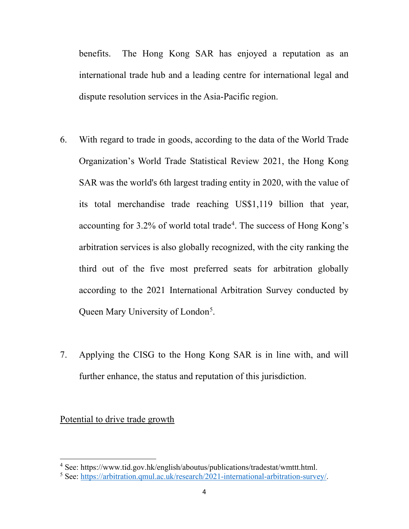benefits. The Hong Kong SAR has enjoyed a reputation as an international trade hub and a leading centre for international legal and dispute resolution services in the Asia-Pacific region.

- 6. With regard to trade in goods, according to the data of the World Trade Organization's World Trade Statistical Review 2021, the Hong Kong SAR was the world's 6th largest trading entity in 2020, with the value of its total merchandise trade reaching US\$1,119 billion that year, accounting for 3.2% of world total trade<sup>[4](#page-3-0)</sup>. The success of Hong Kong's arbitration services is also globally recognized, with the city ranking the third out of the five most preferred seats for arbitration globally according to the 2021 International Arbitration Survey conducted by Queen Mary University of London<sup>[5](#page-3-1)</sup>.
- 7. Applying the CISG to the Hong Kong SAR is in line with, and will further enhance, the status and reputation of this jurisdiction.

Potential to drive trade growth

<span id="page-3-0"></span><sup>&</sup>lt;sup>4</sup> See: https://www.tid.gov.hk/english/aboutus/publications/tradestat/wmttt.html.

<span id="page-3-1"></span><sup>5</sup> See: [https://arbitration.qmul.ac.uk/research/2021-international-arbitration-survey/.](https://arbitration.qmul.ac.uk/research/2021-international-arbitration-survey/)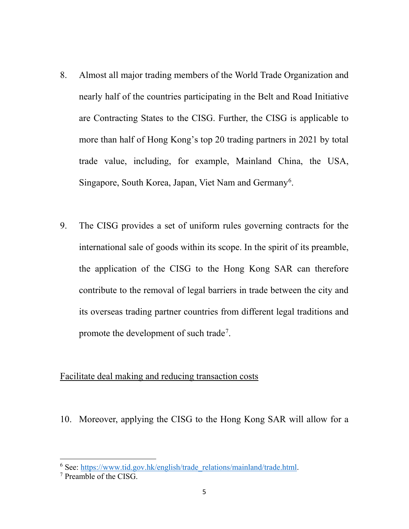- 8. Almost all major trading members of the World Trade Organization and nearly half of the countries participating in the Belt and Road Initiative are Contracting States to the CISG. Further, the CISG is applicable to more than half of Hong Kong's top 20 trading partners in 2021 by total trade value, including, for example, Mainland China, the USA, Singapore, South Korea, Japan, Viet Nam and Germany<sup>[6](#page-4-0)</sup>.
- 9. The CISG provides a set of uniform rules governing contracts for the international sale of goods within its scope. In the spirit of its preamble, the application of the CISG to the Hong Kong SAR can therefore contribute to the removal of legal barriers in trade between the city and its overseas trading partner countries from different legal traditions and promote the development of such trade<sup>[7](#page-4-1)</sup>.

# Facilitate deal making and reducing transaction costs

10. Moreover, applying the CISG to the Hong Kong SAR will allow for a

<span id="page-4-0"></span><sup>&</sup>lt;sup>6</sup> See: [https://www.tid.gov.hk/english/trade\\_relations/mainland/trade.html.](https://www.tid.gov.hk/english/trade_relations/mainland/trade.html)<br><sup>7</sup> Preamble of the CISG.

<span id="page-4-1"></span>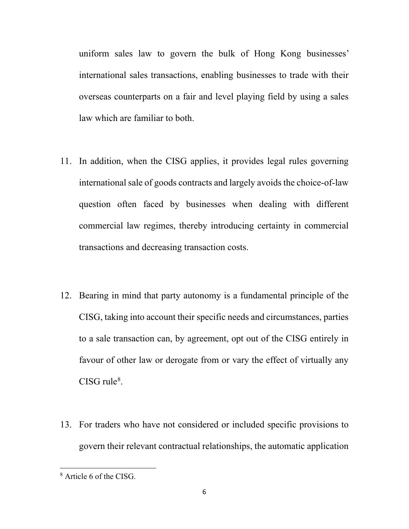uniform sales law to govern the bulk of Hong Kong businesses' international sales transactions, enabling businesses to trade with their overseas counterparts on a fair and level playing field by using a sales law which are familiar to both.

- 11. In addition, when the CISG applies, it provides legal rules governing international sale of goods contracts and largely avoids the choice-of-law question often faced by businesses when dealing with different commercial law regimes, thereby introducing certainty in commercial transactions and decreasing transaction costs.
- 12. Bearing in mind that party autonomy is a fundamental principle of the CISG, taking into account their specific needs and circumstances, parties to a sale transaction can, by agreement, opt out of the CISG entirely in favour of other law or derogate from or vary the effect of virtually any  $CISG$  rule<sup>[8](#page-5-0)</sup>.
- 13. For traders who have not considered or included specific provisions to govern their relevant contractual relationships, the automatic application

l

<span id="page-5-0"></span><sup>&</sup>lt;sup>8</sup> Article 6 of the CISG.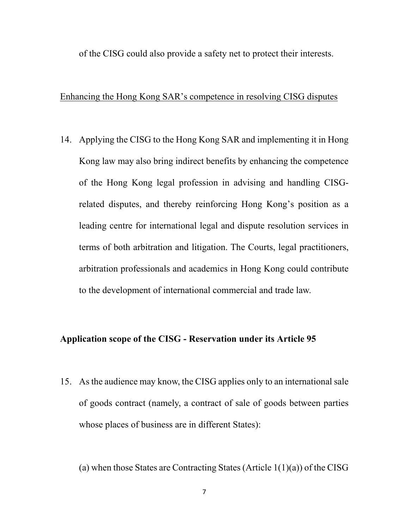of the CISG could also provide a safety net to protect their interests.

## Enhancing the Hong Kong SAR's competence in resolving CISG disputes

14. Applying the CISG to the Hong Kong SAR and implementing it in Hong Kong law may also bring indirect benefits by enhancing the competence of the Hong Kong legal profession in advising and handling CISGrelated disputes, and thereby reinforcing Hong Kong's position as a leading centre for international legal and dispute resolution services in terms of both arbitration and litigation. The Courts, legal practitioners, arbitration professionals and academics in Hong Kong could contribute to the development of international commercial and trade law.

## **Application scope of the CISG - Reservation under its Article 95**

15. As the audience may know, the CISG applies only to an international sale of goods contract (namely, a contract of sale of goods between parties whose places of business are in different States):

(a) when those States are Contracting States (Article  $1(1)(a)$ ) of the CISG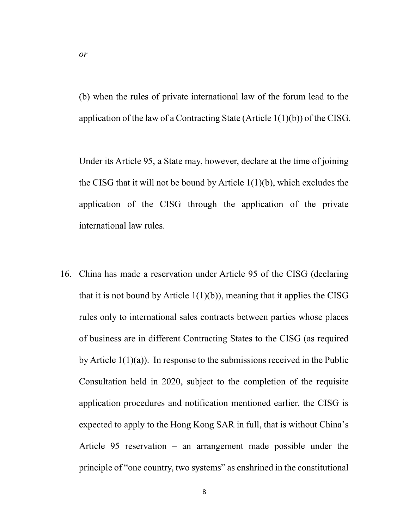(b) when the rules of private international law of the forum lead to the application of the law of a Contracting State (Article  $1(1)(b)$ ) of the CISG.

Under its Article 95, a State may, however, declare at the time of joining the CISG that it will not be bound by Article  $1(1)(b)$ , which excludes the application of the CISG through the application of the private international law rules.

16. China has made a reservation under Article 95 of the CISG (declaring that it is not bound by Article  $1(1)(b)$ , meaning that it applies the CISG rules only to international sales contracts between parties whose places of business are in different Contracting States to the CISG (as required by Article 1(1)(a)). In response to the submissions received in the Public Consultation held in 2020, subject to the completion of the requisite application procedures and notification mentioned earlier, the CISG is expected to apply to the Hong Kong SAR in full, that is without China's Article 95 reservation – an arrangement made possible under the principle of "one country, two systems" as enshrined in the constitutional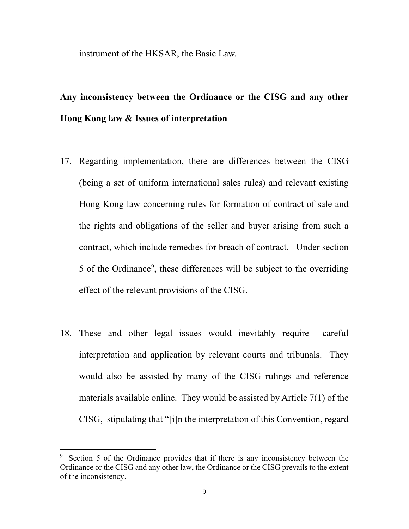instrument of the HKSAR, the Basic Law.

# **Any inconsistency between the Ordinance or the CISG and any other Hong Kong law & Issues of interpretation**

- 17. Regarding implementation, there are differences between the CISG (being a set of uniform international sales rules) and relevant existing Hong Kong law concerning rules for formation of contract of sale and the rights and obligations of the seller and buyer arising from such a contract, which include remedies for breach of contract. Under section 5 of the Ordinance<sup>[9](#page-8-0)</sup>, these differences will be subject to the overriding effect of the relevant provisions of the CISG.
- 18. These and other legal issues would inevitably require careful interpretation and application by relevant courts and tribunals. They would also be assisted by many of the CISG rulings and reference materials available online. They would be assisted by Article 7(1) of the CISG, stipulating that "[i]n the interpretation of this Convention, regard

<span id="page-8-0"></span>Section 5 of the Ordinance provides that if there is any inconsistency between the Ordinance or the CISG and any other law, the Ordinance or the CISG prevails to the extent of the inconsistency.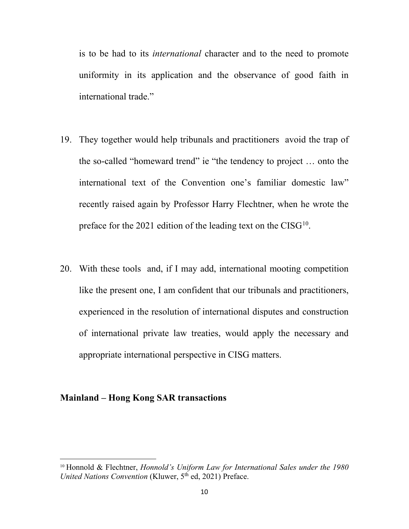is to be had to its *international* character and to the need to promote uniformity in its application and the observance of good faith in international trade."

- 19. They together would help tribunals and practitioners avoid the trap of the so-called "homeward trend" ie "the tendency to project … onto the international text of the Convention one's familiar domestic law" recently raised again by Professor Harry Flechtner, when he wrote the preface for the 2021 edition of the leading text on the CISG<sup>10</sup>.
- 20. With these tools and, if I may add, international mooting competition like the present one, I am confident that our tribunals and practitioners, experienced in the resolution of international disputes and construction of international private law treaties, would apply the necessary and appropriate international perspective in CISG matters.

# **Mainland – Hong Kong SAR transactions**

<span id="page-9-0"></span><sup>10</sup> Honnold & Flechtner, *Honnold's Uniform Law for International Sales under the 1980 United Nations Convention* (Kluwer, 5<sup>th</sup> ed, 2021) Preface.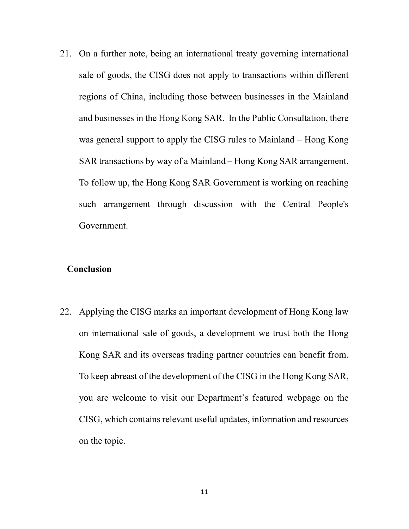21. On a further note, being an international treaty governing international sale of goods, the CISG does not apply to transactions within different regions of China, including those between businesses in the Mainland and businesses in the Hong Kong SAR. In the Public Consultation, there was general support to apply the CISG rules to Mainland – Hong Kong SAR transactions by way of a Mainland – Hong Kong SAR arrangement. To follow up, the Hong Kong SAR Government is working on reaching such arrangement through discussion with the Central People's Government.

## **Conclusion**

22. Applying the CISG marks an important development of Hong Kong law on international sale of goods, a development we trust both the Hong Kong SAR and its overseas trading partner countries can benefit from. To keep abreast of the development of the CISG in the Hong Kong SAR, you are welcome to visit our Department's featured webpage on the CISG, which contains relevant useful updates, information and resources on the topic.